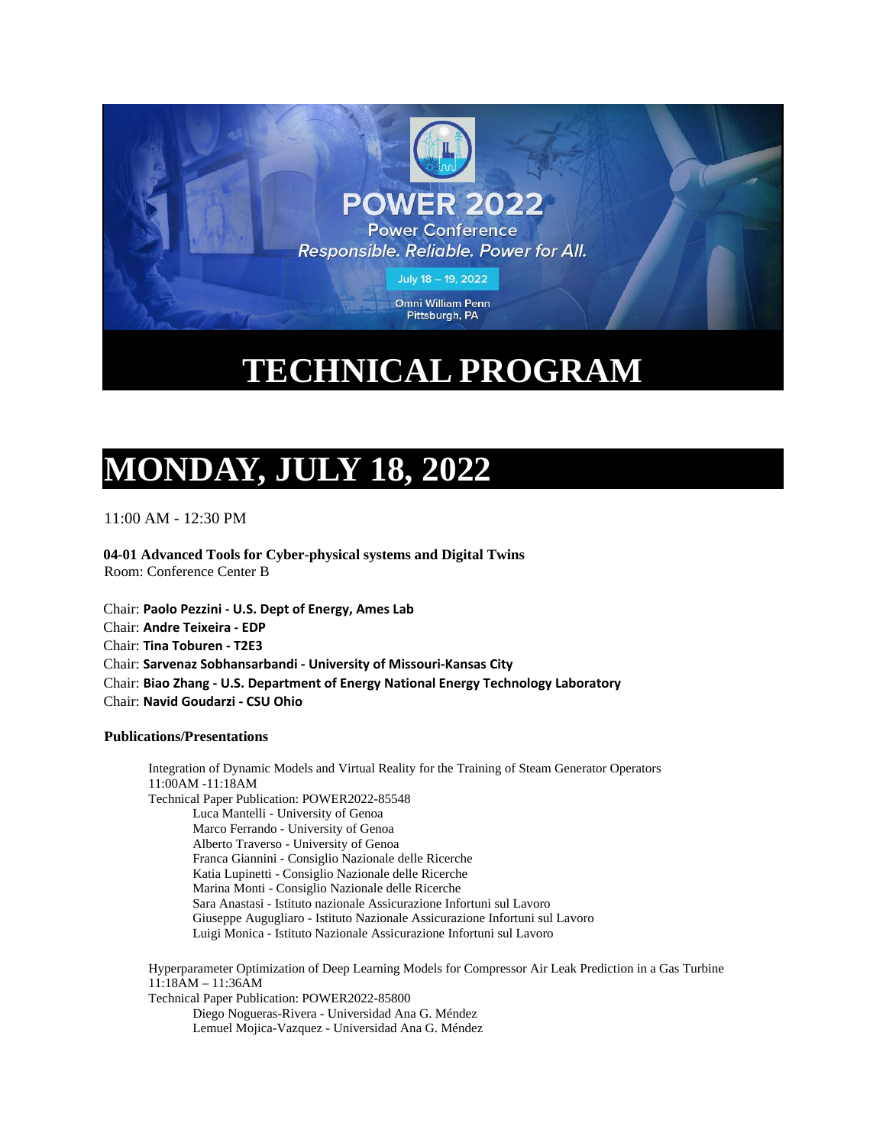

## **TECHNICAL PROGRAM**

## **MONDAY, JULY 18, 2022**

11:00 AM - 12:30 PM

**04-01 Advanced Tools for Cyber-physical systems and Digital Twins** Room: Conference Center B

Chair: **Paolo Pezzini - U.S. Dept of Energy, Ames Lab** Chair: **Andre Teixeira - EDP** Chair: **Tina Toburen - T2E3** Chair: **Sarvenaz Sobhansarbandi - University of Missouri-Kansas City** Chair: **Biao Zhang - U.S. Department of Energy National Energy Technology Laboratory** Chair: **Navid Goudarzi - CSU Ohio**

## **Publications/Presentations**

Integration of Dynamic Models and Virtual Reality for the Training of Steam Generator Operators 11:00AM -11:18AM Technical Paper Publication: POWER2022-85548 Luca Mantelli - University of Genoa Marco Ferrando - University of Genoa Alberto Traverso - University of Genoa Franca Giannini - Consiglio Nazionale delle Ricerche Katia Lupinetti - Consiglio Nazionale delle Ricerche Marina Monti - Consiglio Nazionale delle Ricerche Sara Anastasi - Istituto nazionale Assicurazione Infortuni sul Lavoro Giuseppe Augugliaro - Istituto Nazionale Assicurazione Infortuni sul Lavoro Luigi Monica - Istituto Nazionale Assicurazione Infortuni sul Lavoro

Hyperparameter Optimization of Deep Learning Models for Compressor Air Leak Prediction in a Gas Turbine 11:18AM – 11:36AM Technical Paper Publication: POWER2022-85800 Diego Nogueras-Rivera - Universidad Ana G. Méndez Lemuel Mojica-Vazquez - Universidad Ana G. Méndez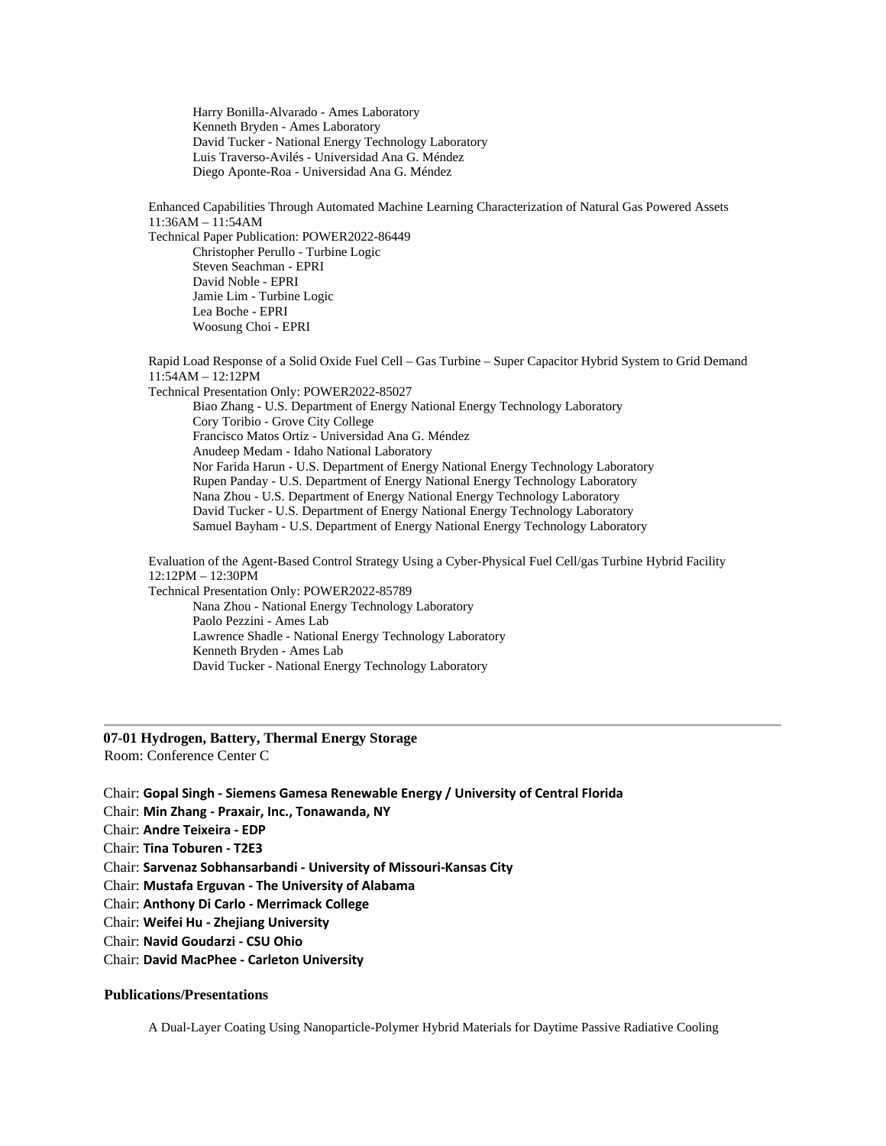Harry Bonilla-Alvarado - Ames Laboratory Kenneth Bryden - Ames Laboratory David Tucker - National Energy Technology Laboratory Luis Traverso-Avilés - Universidad Ana G. Méndez Diego Aponte-Roa - Universidad Ana G. Méndez

Enhanced Capabilities Through Automated Machine Learning Characterization of Natural Gas Powered Assets 11:36AM – 11:54AM Technical Paper Publication: POWER2022-86449 Christopher Perullo - Turbine Logic

Steven Seachman - EPRI David Noble - EPRI Jamie Lim - Turbine Logic Lea Boche - EPRI Woosung Choi - EPRI

Rapid Load Response of a Solid Oxide Fuel Cell – Gas Turbine – Super Capacitor Hybrid System to Grid Demand 11:54AM – 12:12PM Technical Presentation Only: POWER2022-85027 Biao Zhang - U.S. Department of Energy National Energy Technology Laboratory Cory Toribio - Grove City College Francisco Matos Ortiz - Universidad Ana G. Méndez Anudeep Medam - Idaho National Laboratory Nor Farida Harun - U.S. Department of Energy National Energy Technology Laboratory Rupen Panday - U.S. Department of Energy National Energy Technology Laboratory Nana Zhou - U.S. Department of Energy National Energy Technology Laboratory David Tucker - U.S. Department of Energy National Energy Technology Laboratory Samuel Bayham - U.S. Department of Energy National Energy Technology Laboratory Evaluation of the Agent-Based Control Strategy Using a Cyber-Physical Fuel Cell/gas Turbine Hybrid Facility 12:12PM – 12:30PM

Technical Presentation Only: POWER2022-85789 Nana Zhou - National Energy Technology Laboratory Paolo Pezzini - Ames Lab Lawrence Shadle - National Energy Technology Laboratory Kenneth Bryden - Ames Lab David Tucker - National Energy Technology Laboratory

## **07-01 Hydrogen, Battery, Thermal Energy Storage**

Room: Conference Center C

Chair: **Gopal Singh - Siemens Gamesa Renewable Energy / University of Central Florida**

Chair: **Min Zhang - Praxair, Inc., Tonawanda, NY**

Chair: **Andre Teixeira - EDP**

Chair: **Tina Toburen - T2E3**

Chair: **Sarvenaz Sobhansarbandi - University of Missouri-Kansas City**

Chair: **Mustafa Erguvan - The University of Alabama**

Chair: **Anthony Di Carlo - Merrimack College**

Chair: **Weifei Hu - Zhejiang University**

Chair: **Navid Goudarzi - CSU Ohio**

Chair: **David MacPhee - Carleton University**

## **Publications/Presentations**

A Dual-Layer Coating Using Nanoparticle-Polymer Hybrid Materials for Daytime Passive Radiative Cooling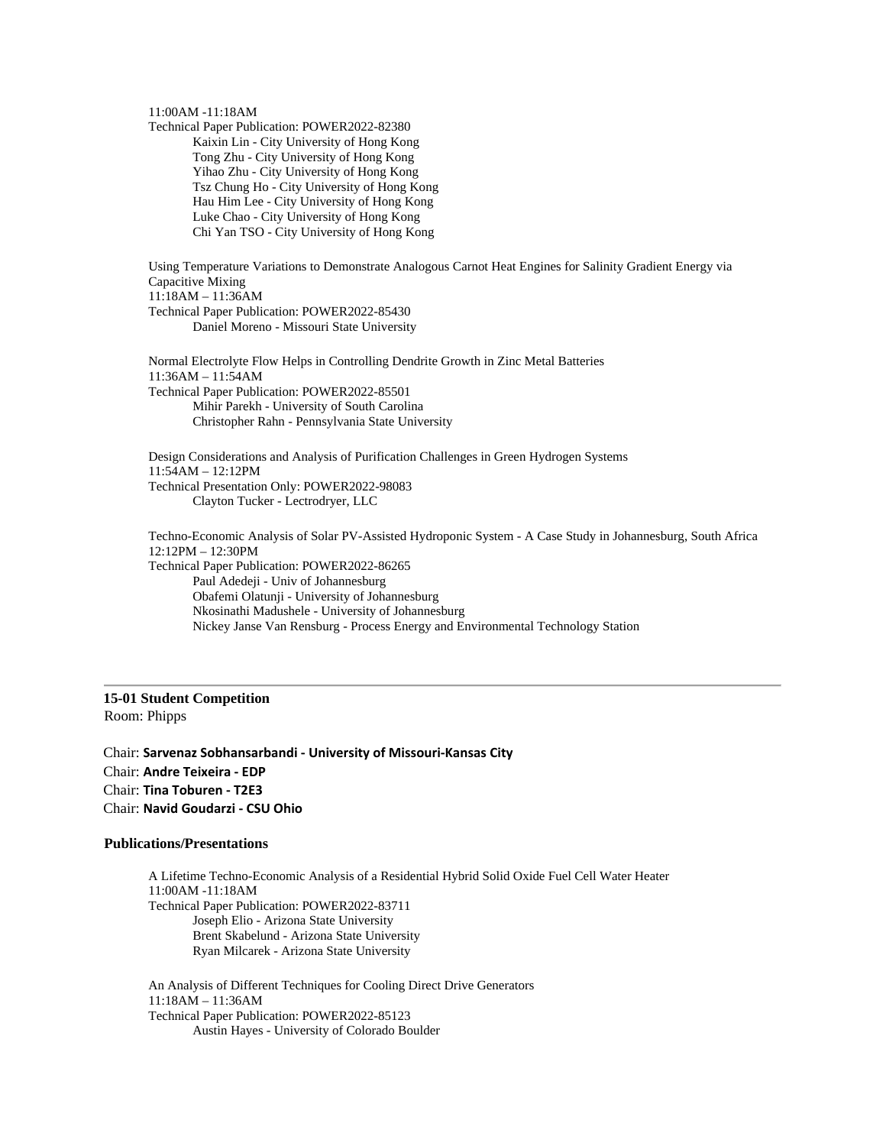### 11:00AM -11:18AM

Technical Paper Publication: POWER2022-82380 Kaixin Lin - City University of Hong Kong Tong Zhu - City University of Hong Kong Yihao Zhu - City University of Hong Kong Tsz Chung Ho - City University of Hong Kong Hau Him Lee - City University of Hong Kong Luke Chao - City University of Hong Kong Chi Yan TSO - City University of Hong Kong

Using Temperature Variations to Demonstrate Analogous Carnot Heat Engines for Salinity Gradient Energy via Capacitive Mixing 11:18AM – 11:36AM Technical Paper Publication: POWER2022-85430 Daniel Moreno - Missouri State University

Normal Electrolyte Flow Helps in Controlling Dendrite Growth in Zinc Metal Batteries 11:36AM – 11:54AM Technical Paper Publication: POWER2022-85501 Mihir Parekh - University of South Carolina Christopher Rahn - Pennsylvania State University

Design Considerations and Analysis of Purification Challenges in Green Hydrogen Systems 11:54AM – 12:12PM Technical Presentation Only: POWER2022-98083 Clayton Tucker - Lectrodryer, LLC

Techno-Economic Analysis of Solar PV-Assisted Hydroponic System - A Case Study in Johannesburg, South Africa 12:12PM – 12:30PM Technical Paper Publication: POWER2022-86265 Paul Adedeji - Univ of Johannesburg Obafemi Olatunji - University of Johannesburg Nkosinathi Madushele - University of Johannesburg Nickey Janse Van Rensburg - Process Energy and Environmental Technology Station

## **15-01 Student Competition** Room: Phipps

Chair: **Sarvenaz Sobhansarbandi - University of Missouri-Kansas City** Chair: **Andre Teixeira - EDP** Chair: **Tina Toburen - T2E3** Chair: **Navid Goudarzi - CSU Ohio**

### **Publications/Presentations**

A Lifetime Techno-Economic Analysis of a Residential Hybrid Solid Oxide Fuel Cell Water Heater 11:00AM -11:18AM Technical Paper Publication: POWER2022-83711 Joseph Elio - Arizona State University Brent Skabelund - Arizona State University Ryan Milcarek - Arizona State University An Analysis of Different Techniques for Cooling Direct Drive Generators 11:18AM – 11:36AM

Technical Paper Publication: POWER2022-85123 Austin Hayes - University of Colorado Boulder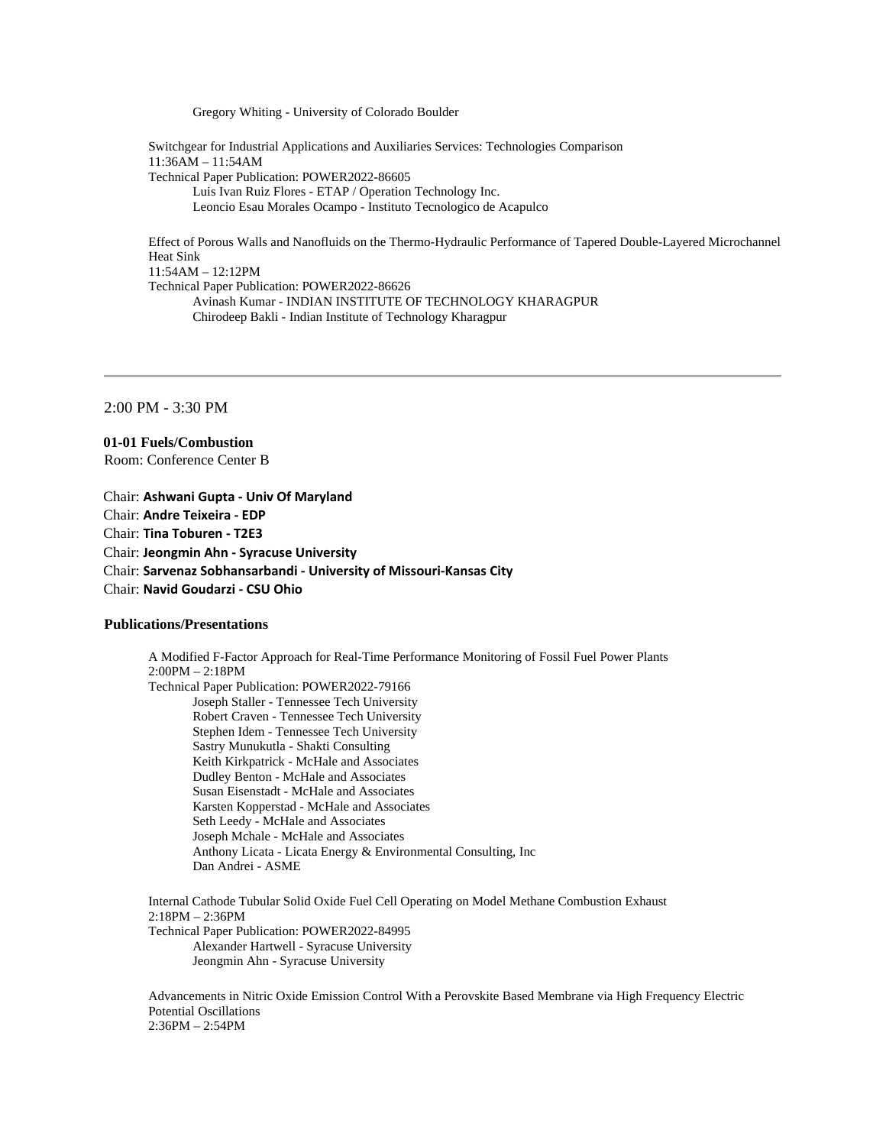Gregory Whiting - University of Colorado Boulder

Switchgear for Industrial Applications and Auxiliaries Services: Technologies Comparison 11:36AM – 11:54AM Technical Paper Publication: POWER2022-86605 Luis Ivan Ruiz Flores - ETAP / Operation Technology Inc. Leoncio Esau Morales Ocampo - Instituto Tecnologico de Acapulco

Effect of Porous Walls and Nanofluids on the Thermo-Hydraulic Performance of Tapered Double-Layered Microchannel Heat Sink 11:54AM – 12:12PM Technical Paper Publication: POWER2022-86626 Avinash Kumar - INDIAN INSTITUTE OF TECHNOLOGY KHARAGPUR Chirodeep Bakli - Indian Institute of Technology Kharagpur

2:00 PM - 3:30 PM

**01-01 Fuels/Combustion** Room: Conference Center B

Chair: **Ashwani Gupta - Univ Of Maryland** Chair: **Andre Teixeira - EDP** Chair: **Tina Toburen - T2E3** Chair: **Jeongmin Ahn - Syracuse University** Chair: **Sarvenaz Sobhansarbandi - University of Missouri-Kansas City** Chair: **Navid Goudarzi - CSU Ohio**

## **Publications/Presentations**

A Modified F-Factor Approach for Real-Time Performance Monitoring of Fossil Fuel Power Plants 2:00PM – 2:18PM Technical Paper Publication: POWER2022-79166 Joseph Staller - Tennessee Tech University Robert Craven - Tennessee Tech University Stephen Idem - Tennessee Tech University Sastry Munukutla - Shakti Consulting Keith Kirkpatrick - McHale and Associates Dudley Benton - McHale and Associates Susan Eisenstadt - McHale and Associates Karsten Kopperstad - McHale and Associates Seth Leedy - McHale and Associates Joseph Mchale - McHale and Associates Anthony Licata - Licata Energy & Environmental Consulting, Inc Dan Andrei - ASME Internal Cathode Tubular Solid Oxide Fuel Cell Operating on Model Methane Combustion Exhaust

2:18PM – 2:36PM Technical Paper Publication: POWER2022-84995 Alexander Hartwell - Syracuse University Jeongmin Ahn - Syracuse University

Advancements in Nitric Oxide Emission Control With a Perovskite Based Membrane via High Frequency Electric Potential Oscillations 2:36PM – 2:54PM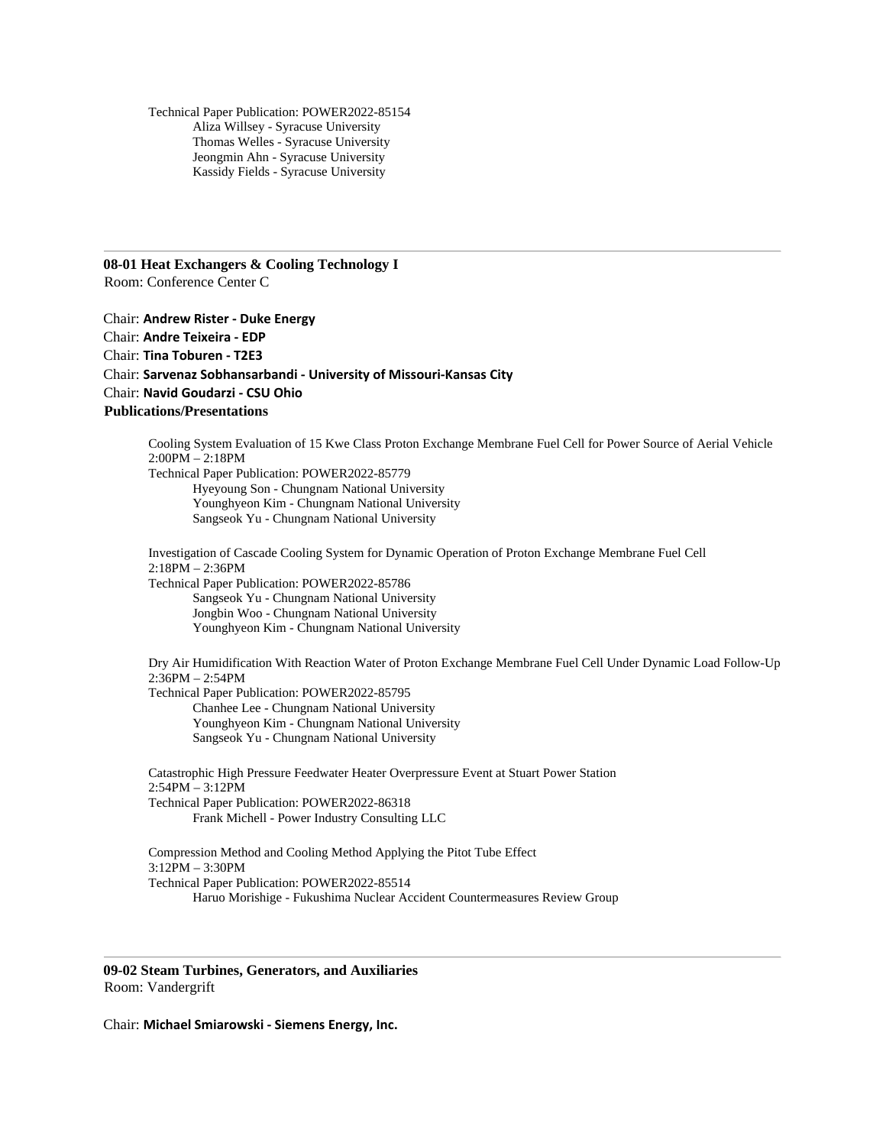Technical Paper Publication: POWER2022-85154 Aliza Willsey - Syracuse University Thomas Welles - Syracuse University Jeongmin Ahn - Syracuse University Kassidy Fields - Syracuse University

**08-01 Heat Exchangers & Cooling Technology I** Room: Conference Center C

Chair: **Andrew Rister - Duke Energy** Chair: **Andre Teixeira - EDP** Chair: **Tina Toburen - T2E3** Chair: **Sarvenaz Sobhansarbandi - University of Missouri-Kansas City** Chair: **Navid Goudarzi - CSU Ohio Publications/Presentations**

Cooling System Evaluation of 15 Kwe Class Proton Exchange Membrane Fuel Cell for Power Source of Aerial Vehicle 2:00PM – 2:18PM Technical Paper Publication: POWER2022-85779 Hyeyoung Son - Chungnam National University Younghyeon Kim - Chungnam National University Sangseok Yu - Chungnam National University Investigation of Cascade Cooling System for Dynamic Operation of Proton Exchange Membrane Fuel Cell 2:18PM – 2:36PM Technical Paper Publication: POWER2022-85786 Sangseok Yu - Chungnam National University Jongbin Woo - Chungnam National University Younghyeon Kim - Chungnam National University Dry Air Humidification With Reaction Water of Proton Exchange Membrane Fuel Cell Under Dynamic Load Follow-Up 2:36PM – 2:54PM Technical Paper Publication: POWER2022-85795 Chanhee Lee - Chungnam National University Younghyeon Kim - Chungnam National University Sangseok Yu - Chungnam National University Catastrophic High Pressure Feedwater Heater Overpressure Event at Stuart Power Station 2:54PM – 3:12PM Technical Paper Publication: POWER2022-86318 Frank Michell - Power Industry Consulting LLC

Compression Method and Cooling Method Applying the Pitot Tube Effect 3:12PM – 3:30PM Technical Paper Publication: POWER2022-85514 Haruo Morishige - Fukushima Nuclear Accident Countermeasures Review Group

**09-02 Steam Turbines, Generators, and Auxiliaries** Room: Vandergrift

Chair: **Michael Smiarowski - Siemens Energy, Inc.**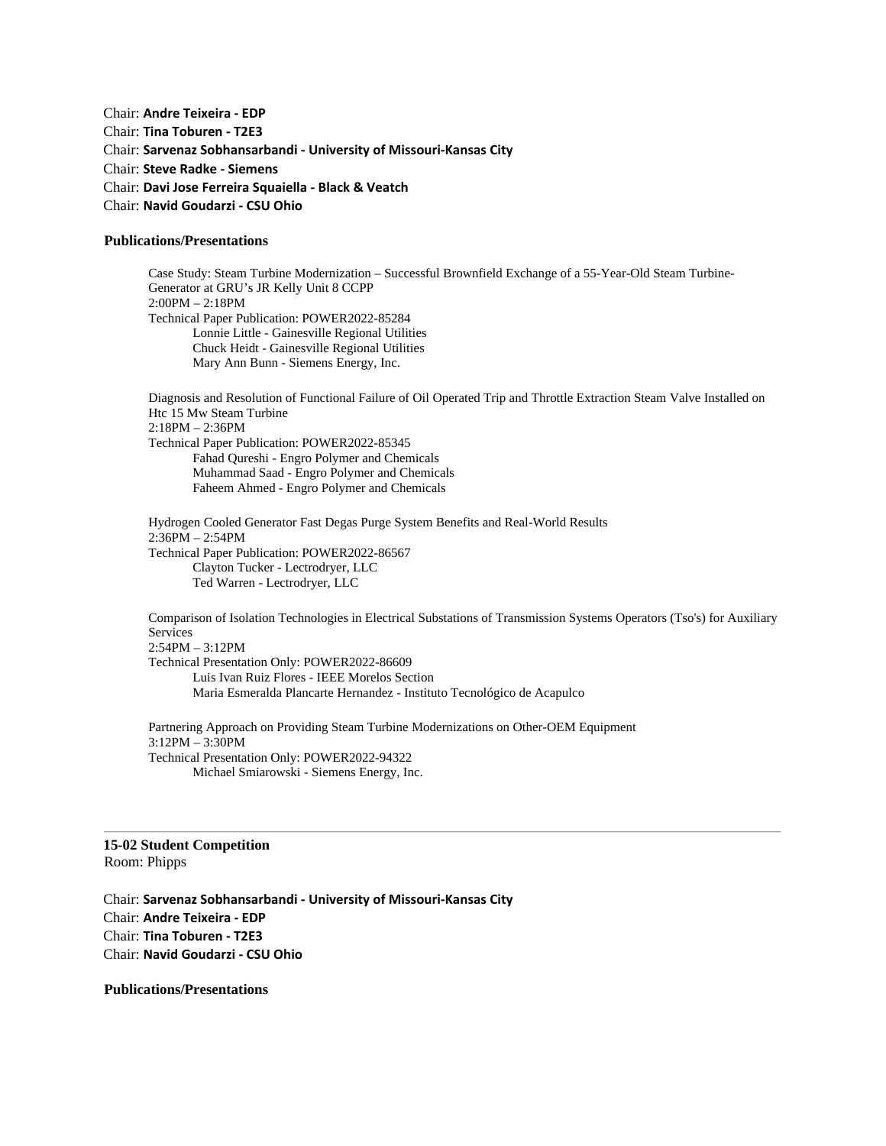Chair: **Andre Teixeira - EDP** Chair: **Tina Toburen - T2E3** Chair: **Sarvenaz Sobhansarbandi - University of Missouri-Kansas City** Chair: **Steve Radke - Siemens** Chair: **Davi Jose Ferreira Squaiella - Black & Veatch** Chair: **Navid Goudarzi - CSU Ohio**

## **Publications/Presentations**

Case Study: Steam Turbine Modernization – Successful Brownfield Exchange of a 55-Year-Old Steam Turbine-Generator at GRU's JR Kelly Unit 8 CCPP 2:00PM – 2:18PM Technical Paper Publication: POWER2022-85284 Lonnie Little - Gainesville Regional Utilities Chuck Heidt - Gainesville Regional Utilities Mary Ann Bunn - Siemens Energy, Inc.

Diagnosis and Resolution of Functional Failure of Oil Operated Trip and Throttle Extraction Steam Valve Installed on Htc 15 Mw Steam Turbine 2:18PM – 2:36PM Technical Paper Publication: POWER2022-85345 Fahad Qureshi - Engro Polymer and Chemicals Muhammad Saad - Engro Polymer and Chemicals Faheem Ahmed - Engro Polymer and Chemicals

Hydrogen Cooled Generator Fast Degas Purge System Benefits and Real-World Results 2:36PM – 2:54PM Technical Paper Publication: POWER2022-86567 Clayton Tucker - Lectrodryer, LLC Ted Warren - Lectrodryer, LLC

Comparison of Isolation Technologies in Electrical Substations of Transmission Systems Operators (Tso's) for Auxiliary Services 2:54PM – 3:12PM Technical Presentation Only: POWER2022-86609 Luis Ivan Ruiz Flores - IEEE Morelos Section Maria Esmeralda Plancarte Hernandez - Instituto Tecnológico de Acapulco

Partnering Approach on Providing Steam Turbine Modernizations on Other-OEM Equipment 3:12PM – 3:30PM Technical Presentation Only: POWER2022-94322 Michael Smiarowski - Siemens Energy, Inc.

**15-02 Student Competition** Room: Phipps

Chair: **Sarvenaz Sobhansarbandi - University of Missouri-Kansas City** Chair: **Andre Teixeira - EDP** Chair: **Tina Toburen - T2E3** Chair: **Navid Goudarzi - CSU Ohio**

**Publications/Presentations**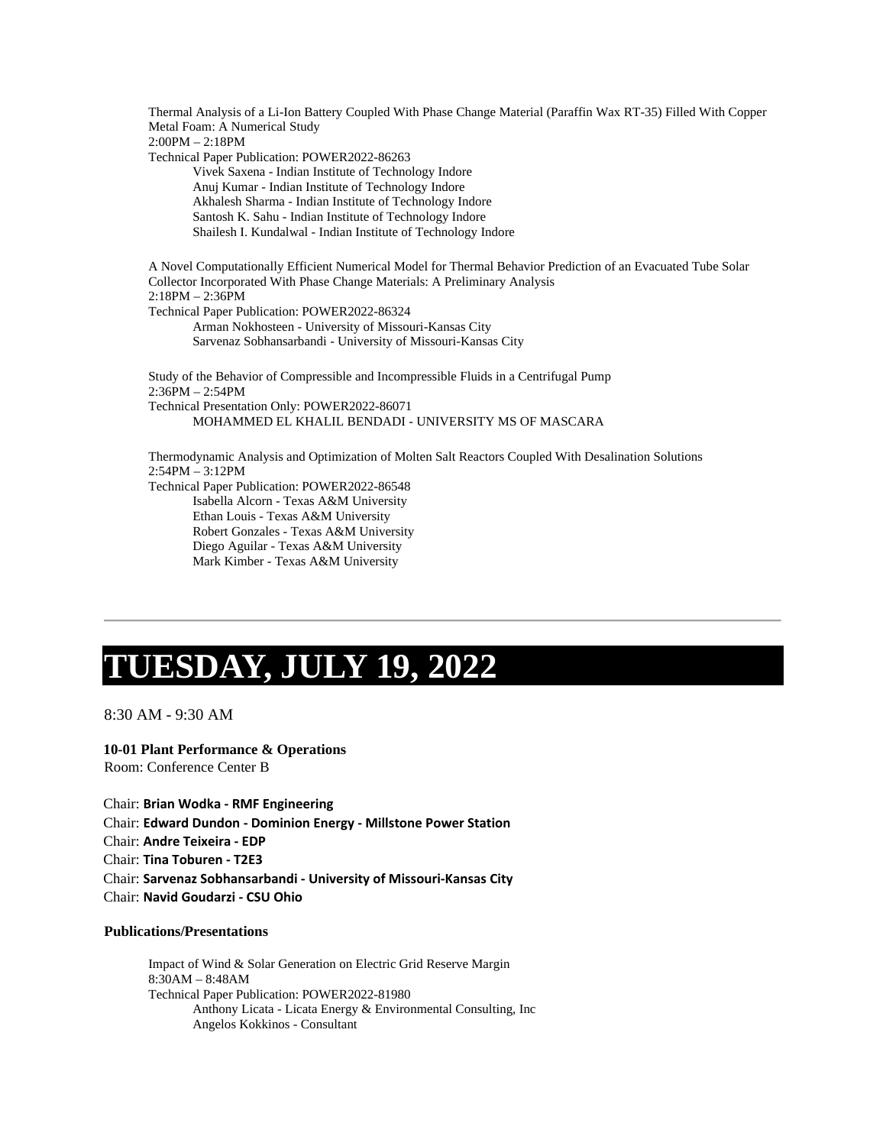Thermal Analysis of a Li-Ion Battery Coupled With Phase Change Material (Paraffin Wax RT-35) Filled With Copper Metal Foam: A Numerical Study 2:00PM – 2:18PM Technical Paper Publication: POWER2022-86263 Vivek Saxena - Indian Institute of Technology Indore Anuj Kumar - Indian Institute of Technology Indore Akhalesh Sharma - Indian Institute of Technology Indore Santosh K. Sahu - Indian Institute of Technology Indore Shailesh I. Kundalwal - Indian Institute of Technology Indore A Novel Computationally Efficient Numerical Model for Thermal Behavior Prediction of an Evacuated Tube Solar Collector Incorporated With Phase Change Materials: A Preliminary Analysis 2:18PM – 2:36PM Technical Paper Publication: POWER2022-86324 Arman Nokhosteen - University of Missouri-Kansas City Sarvenaz Sobhansarbandi - University of Missouri-Kansas City Study of the Behavior of Compressible and Incompressible Fluids in a Centrifugal Pump 2:36PM – 2:54PM Technical Presentation Only: POWER2022-86071 MOHAMMED EL KHALIL BENDADI - UNIVERSITY MS OF MASCARA Thermodynamic Analysis and Optimization of Molten Salt Reactors Coupled With Desalination Solutions 2:54PM – 3:12PM Technical Paper Publication: POWER2022-86548 Isabella Alcorn - Texas A&M University Ethan Louis - Texas A&M University

Robert Gonzales - Texas A&M University Diego Aguilar - Texas A&M University Mark Kimber - Texas A&M University

# **TUESDAY, JULY 19, 2022**

8:30 AM - 9:30 AM

## **10-01 Plant Performance & Operations**

Room: Conference Center B

Chair: **Brian Wodka - RMF Engineering** Chair: **Edward Dundon - Dominion Energy - Millstone Power Station** Chair: **Andre Teixeira - EDP** Chair: **Tina Toburen - T2E3** Chair: **Sarvenaz Sobhansarbandi - University of Missouri-Kansas City** Chair: **Navid Goudarzi - CSU Ohio**

## **Publications/Presentations**

Impact of Wind & Solar Generation on Electric Grid Reserve Margin 8:30AM – 8:48AM Technical Paper Publication: POWER2022-81980 Anthony Licata - Licata Energy & Environmental Consulting, Inc Angelos Kokkinos - Consultant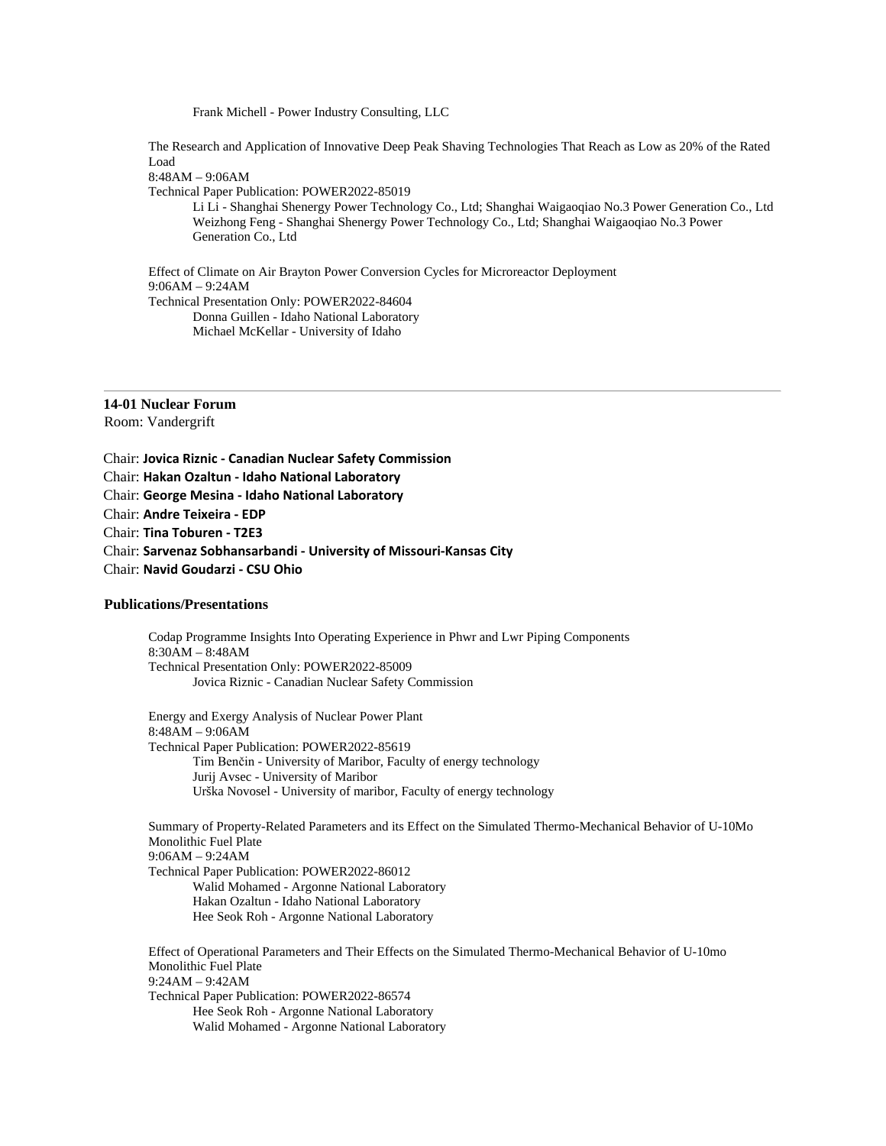Frank Michell - Power Industry Consulting, LLC

The Research and Application of Innovative Deep Peak Shaving Technologies That Reach as Low as 20% of the Rated Load

8:48AM – 9:06AM

Technical Paper Publication: POWER2022-85019

Li Li - Shanghai Shenergy Power Technology Co., Ltd; Shanghai Waigaoqiao No.3 Power Generation Co., Ltd Weizhong Feng - Shanghai Shenergy Power Technology Co., Ltd; Shanghai Waigaoqiao No.3 Power Generation Co., Ltd

Effect of Climate on Air Brayton Power Conversion Cycles for Microreactor Deployment 9:06AM – 9:24AM Technical Presentation Only: POWER2022-84604 Donna Guillen - Idaho National Laboratory Michael McKellar - University of Idaho

**14-01 Nuclear Forum** Room: Vandergrift

Chair: **Jovica Riznic - Canadian Nuclear Safety Commission** Chair: **Hakan Ozaltun - Idaho National Laboratory** Chair: **George Mesina - Idaho National Laboratory** Chair: **Andre Teixeira - EDP** Chair: **Tina Toburen - T2E3** Chair: **Sarvenaz Sobhansarbandi - University of Missouri-Kansas City** Chair: **Navid Goudarzi - CSU Ohio**

## **Publications/Presentations**

Codap Programme Insights Into Operating Experience in Phwr and Lwr Piping Components 8:30AM – 8:48AM Technical Presentation Only: POWER2022-85009 Jovica Riznic - Canadian Nuclear Safety Commission

Energy and Exergy Analysis of Nuclear Power Plant 8:48AM – 9:06AM Technical Paper Publication: POWER2022-85619 Tim Benčin - University of Maribor, Faculty of energy technology Jurij Avsec - University of Maribor Urška Novosel - University of maribor, Faculty of energy technology

Summary of Property-Related Parameters and its Effect on the Simulated Thermo-Mechanical Behavior of U-10Mo Monolithic Fuel Plate 9:06AM – 9:24AM Technical Paper Publication: POWER2022-86012 Walid Mohamed - Argonne National Laboratory Hakan Ozaltun - Idaho National Laboratory Hee Seok Roh - Argonne National Laboratory

Effect of Operational Parameters and Their Effects on the Simulated Thermo-Mechanical Behavior of U-10mo Monolithic Fuel Plate 9:24AM – 9:42AM Technical Paper Publication: POWER2022-86574 Hee Seok Roh - Argonne National Laboratory Walid Mohamed - Argonne National Laboratory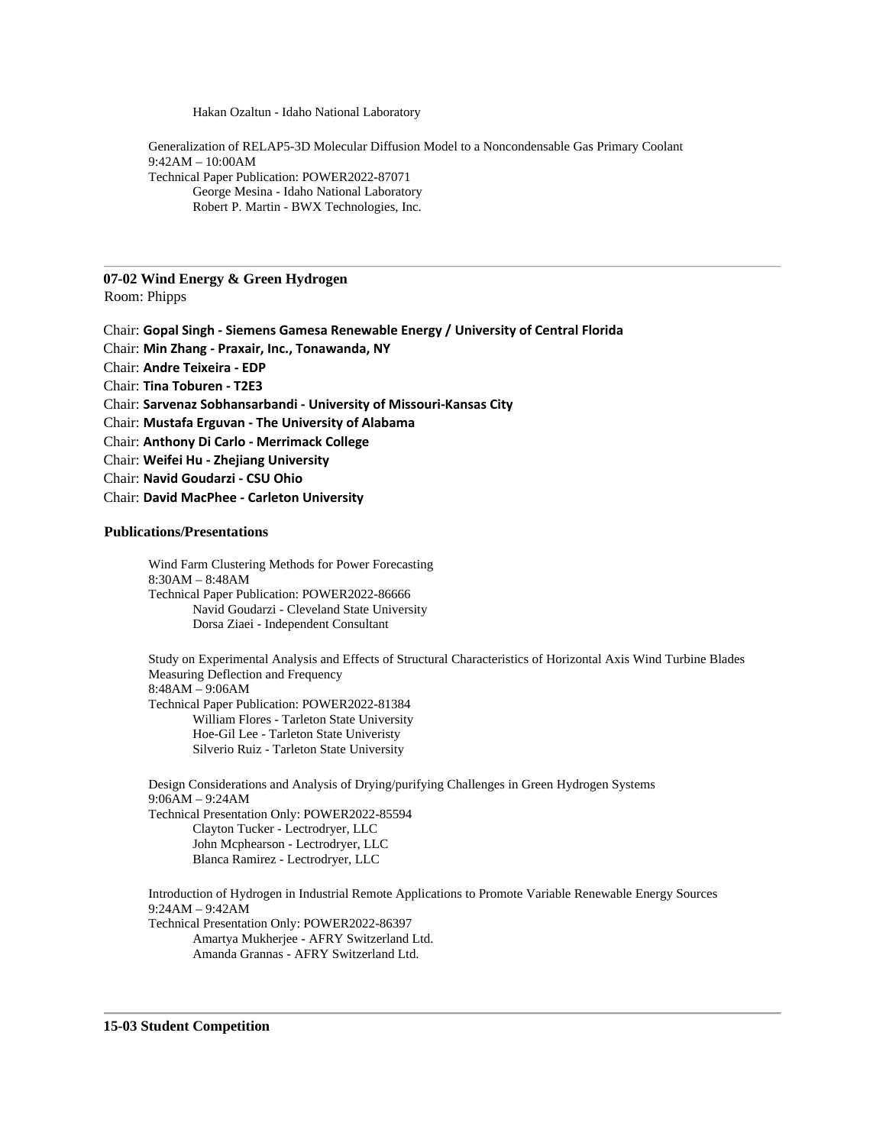Hakan Ozaltun - Idaho National Laboratory

Generalization of RELAP5-3D Molecular Diffusion Model to a Noncondensable Gas Primary Coolant 9:42AM – 10:00AM Technical Paper Publication: POWER2022-87071 George Mesina - Idaho National Laboratory Robert P. Martin - BWX Technologies, Inc.

## **07-02 Wind Energy & Green Hydrogen**

Room: Phipps

Chair: **Gopal Singh - Siemens Gamesa Renewable Energy / University of Central Florida** Chair: **Min Zhang - Praxair, Inc., Tonawanda, NY** Chair: **Andre Teixeira - EDP** Chair: **Tina Toburen - T2E3** Chair: **Sarvenaz Sobhansarbandi - University of Missouri-Kansas City** Chair: **Mustafa Erguvan - The University of Alabama** Chair: **Anthony Di Carlo - Merrimack College** Chair: **Weifei Hu - Zhejiang University** Chair: **Navid Goudarzi - CSU Ohio**

Chair: **David MacPhee - Carleton University**

## **Publications/Presentations**

Wind Farm Clustering Methods for Power Forecasting 8:30AM – 8:48AM Technical Paper Publication: POWER2022-86666 Navid Goudarzi - Cleveland State University Dorsa Ziaei - Independent Consultant

Study on Experimental Analysis and Effects of Structural Characteristics of Horizontal Axis Wind Turbine Blades Measuring Deflection and Frequency 8:48AM – 9:06AM Technical Paper Publication: POWER2022-81384 William Flores - Tarleton State University Hoe-Gil Lee - Tarleton State Univeristy Silverio Ruiz - Tarleton State University

Design Considerations and Analysis of Drying/purifying Challenges in Green Hydrogen Systems 9:06AM – 9:24AM Technical Presentation Only: POWER2022-85594 Clayton Tucker - Lectrodryer, LLC John Mcphearson - Lectrodryer, LLC Blanca Ramirez - Lectrodryer, LLC

Introduction of Hydrogen in Industrial Remote Applications to Promote Variable Renewable Energy Sources 9:24AM – 9:42AM Technical Presentation Only: POWER2022-86397 Amartya Mukherjee - AFRY Switzerland Ltd. Amanda Grannas - AFRY Switzerland Ltd.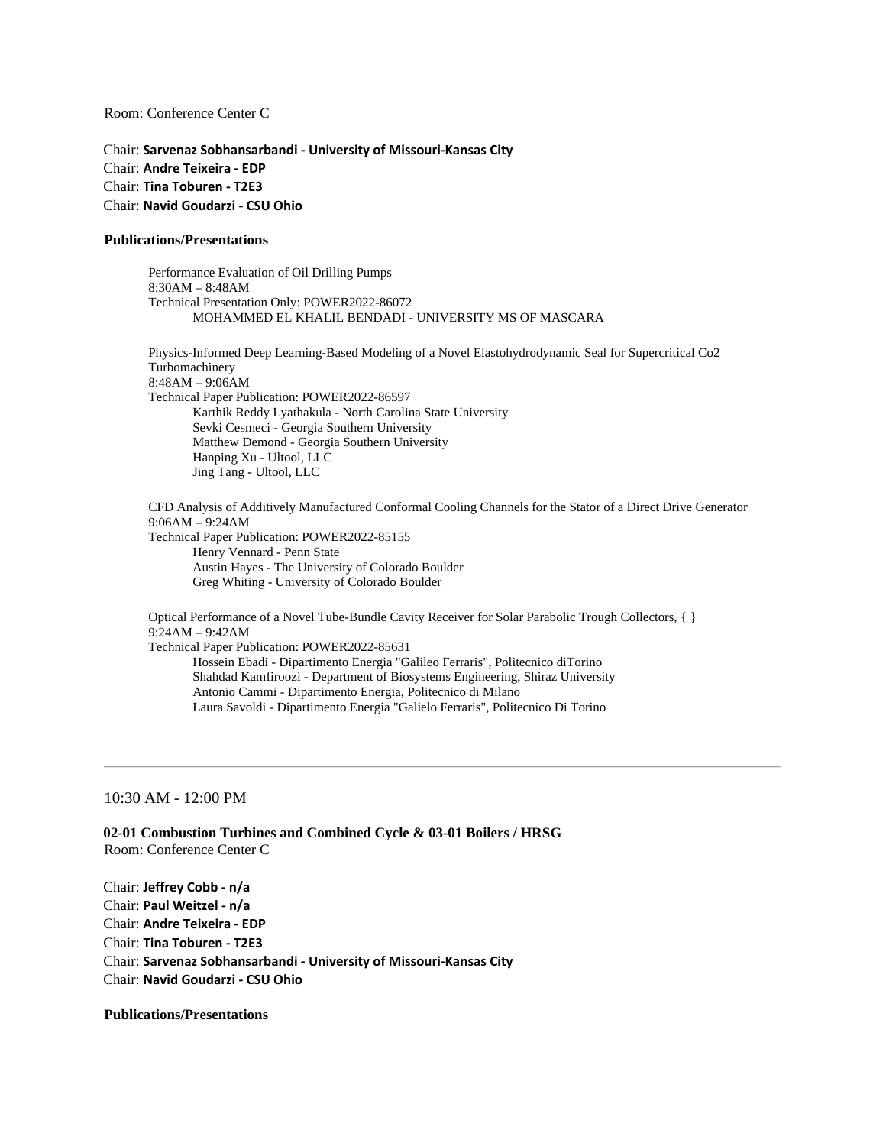Room: Conference Center C

Chair: **Sarvenaz Sobhansarbandi - University of Missouri-Kansas City** Chair: **Andre Teixeira - EDP** Chair: **Tina Toburen - T2E3** Chair: **Navid Goudarzi - CSU Ohio**

### **Publications/Presentations**

Performance Evaluation of Oil Drilling Pumps 8:30AM – 8:48AM Technical Presentation Only: POWER2022-86072 MOHAMMED EL KHALIL BENDADI - UNIVERSITY MS OF MASCARA

Physics-Informed Deep Learning-Based Modeling of a Novel Elastohydrodynamic Seal for Supercritical Co2 Turbomachinery 8:48AM – 9:06AM Technical Paper Publication: POWER2022-86597 Karthik Reddy Lyathakula - North Carolina State University Sevki Cesmeci - Georgia Southern University Matthew Demond - Georgia Southern University Hanping Xu - Ultool, LLC Jing Tang - Ultool, LLC

CFD Analysis of Additively Manufactured Conformal Cooling Channels for the Stator of a Direct Drive Generator 9:06AM – 9:24AM Technical Paper Publication: POWER2022-85155 Henry Vennard - Penn State Austin Hayes - The University of Colorado Boulder Greg Whiting - University of Colorado Boulder

Optical Performance of a Novel Tube-Bundle Cavity Receiver for Solar Parabolic Trough Collectors, { } 9:24AM – 9:42AM Technical Paper Publication: POWER2022-85631 Hossein Ebadi - Dipartimento Energia "Galileo Ferraris", Politecnico diTorino Shahdad Kamfiroozi - Department of Biosystems Engineering, Shiraz University Antonio Cammi - Dipartimento Energia, Politecnico di Milano Laura Savoldi - Dipartimento Energia "Galielo Ferraris", Politecnico Di Torino

10:30 AM - 12:00 PM

**02-01 Combustion Turbines and Combined Cycle & 03-01 Boilers / HRSG** Room: Conference Center C

Chair: **Jeffrey Cobb - n/a** Chair: **Paul Weitzel - n/a** Chair: **Andre Teixeira - EDP** Chair: **Tina Toburen - T2E3** Chair: **Sarvenaz Sobhansarbandi - University of Missouri-Kansas City** Chair: **Navid Goudarzi - CSU Ohio**

## **Publications/Presentations**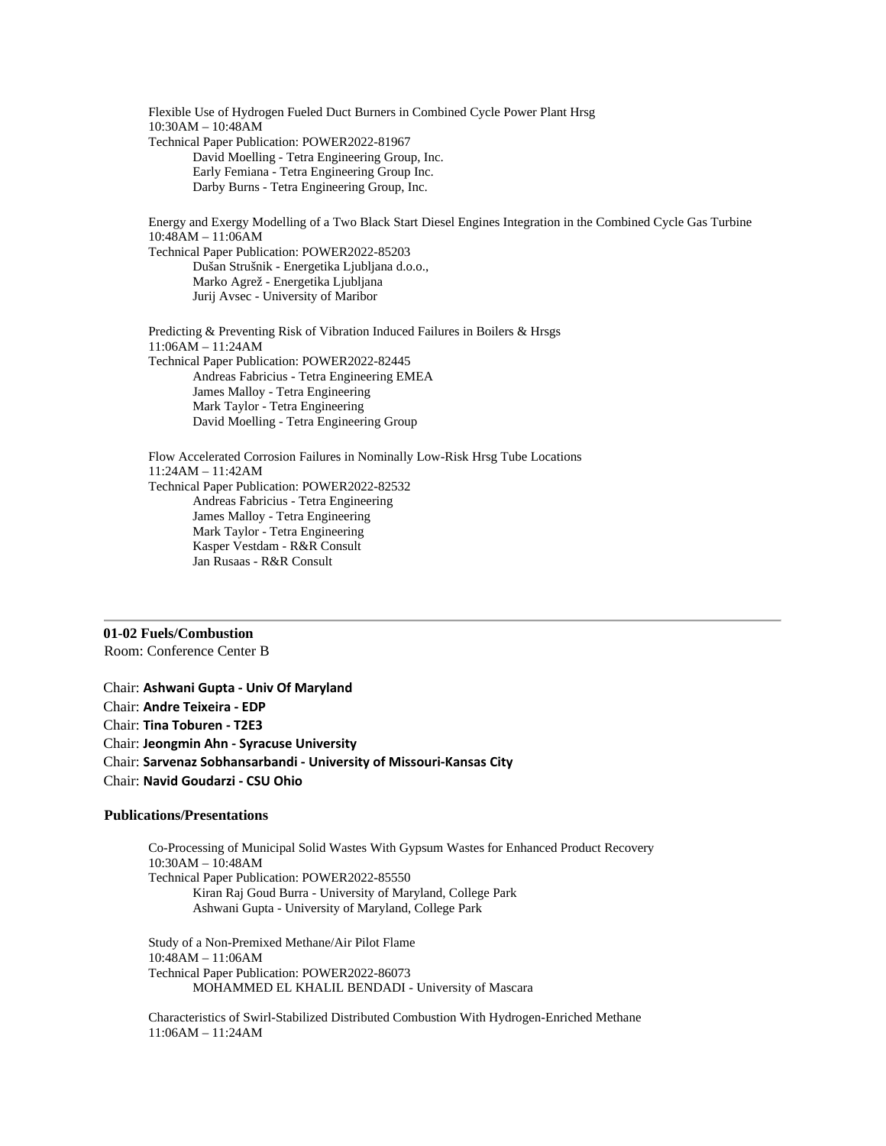Flexible Use of Hydrogen Fueled Duct Burners in Combined Cycle Power Plant Hrsg 10:30AM – 10:48AM Technical Paper Publication: POWER2022-81967 David Moelling - Tetra Engineering Group, Inc. Early Femiana - Tetra Engineering Group Inc. Darby Burns - Tetra Engineering Group, Inc. Energy and Exergy Modelling of a Two Black Start Diesel Engines Integration in the Combined Cycle Gas Turbine 10:48AM – 11:06AM Technical Paper Publication: POWER2022-85203 Dušan Strušnik - Energetika Ljubljana d.o.o., Marko Agrež - Energetika Ljubljana Jurij Avsec - University of Maribor Predicting & Preventing Risk of Vibration Induced Failures in Boilers & Hrsgs 11:06AM – 11:24AM Technical Paper Publication: POWER2022-82445 Andreas Fabricius - Tetra Engineering EMEA James Malloy - Tetra Engineering Mark Taylor - Tetra Engineering David Moelling - Tetra Engineering Group Flow Accelerated Corrosion Failures in Nominally Low-Risk Hrsg Tube Locations 11:24AM – 11:42AM

Technical Paper Publication: POWER2022-82532 Andreas Fabricius - Tetra Engineering James Malloy - Tetra Engineering Mark Taylor - Tetra Engineering Kasper Vestdam - R&R Consult Jan Rusaas - R&R Consult

**01-02 Fuels/Combustion** Room: Conference Center B

Chair: **Ashwani Gupta - Univ Of Maryland** Chair: **Andre Teixeira - EDP** Chair: **Tina Toburen - T2E3** Chair: **Jeongmin Ahn - Syracuse University** Chair: **Sarvenaz Sobhansarbandi - University of Missouri-Kansas City** Chair: **Navid Goudarzi - CSU Ohio**

## **Publications/Presentations**

Co-Processing of Municipal Solid Wastes With Gypsum Wastes for Enhanced Product Recovery 10:30AM – 10:48AM Technical Paper Publication: POWER2022-85550 Kiran Raj Goud Burra - University of Maryland, College Park Ashwani Gupta - University of Maryland, College Park

Study of a Non-Premixed Methane/Air Pilot Flame 10:48AM – 11:06AM Technical Paper Publication: POWER2022-86073 MOHAMMED EL KHALIL BENDADI - University of Mascara

Characteristics of Swirl-Stabilized Distributed Combustion With Hydrogen-Enriched Methane 11:06AM – 11:24AM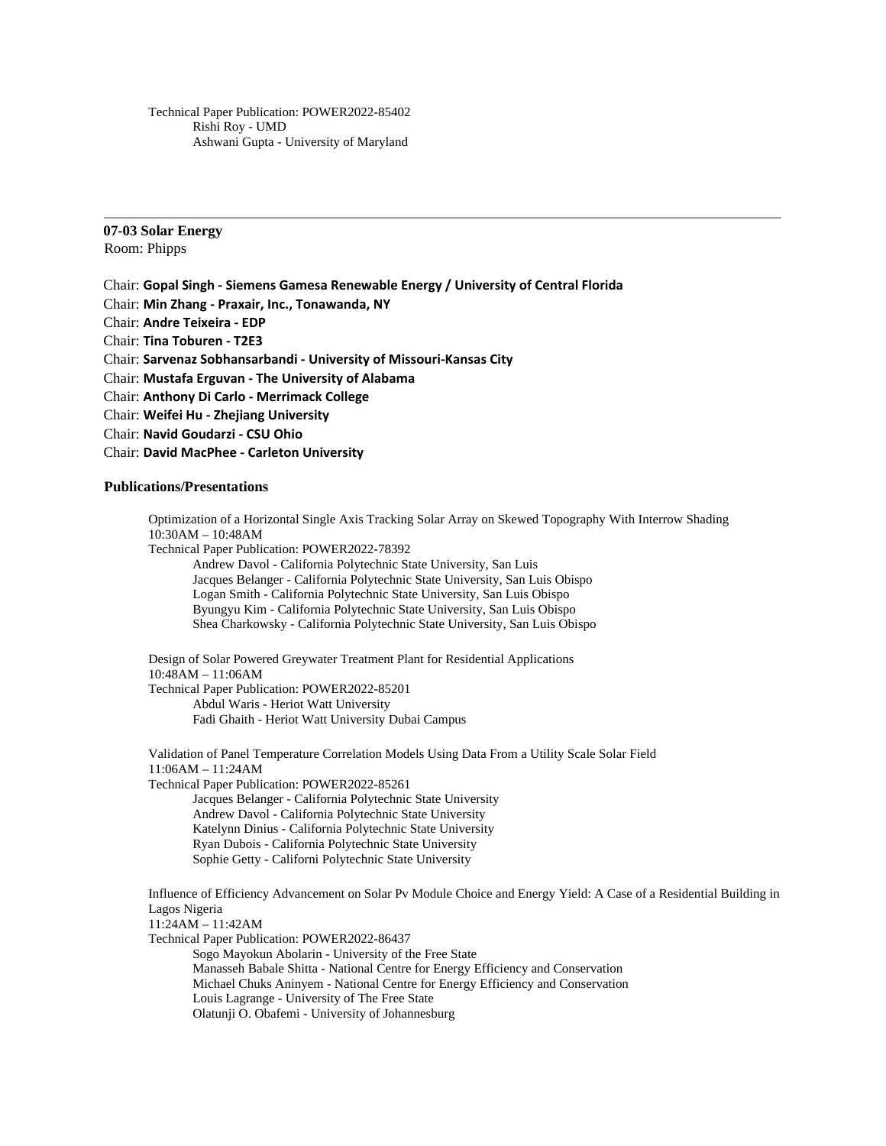Technical Paper Publication: POWER2022-85402 Rishi Roy - UMD Ashwani Gupta - University of Maryland

## **07-03 Solar Energy** Room: Phipps

Chair: **Gopal Singh - Siemens Gamesa Renewable Energy / University of Central Florida** Chair: **Min Zhang - Praxair, Inc., Tonawanda, NY** Chair: **Andre Teixeira - EDP** Chair: **Tina Toburen - T2E3** Chair: **Sarvenaz Sobhansarbandi - University of Missouri-Kansas City** Chair: **Mustafa Erguvan - The University of Alabama** Chair: **Anthony Di Carlo - Merrimack College** Chair: **Weifei Hu - Zhejiang University** Chair: **Navid Goudarzi - CSU Ohio** Chair: **David MacPhee - Carleton University**

## **Publications/Presentations**

Optimization of a Horizontal Single Axis Tracking Solar Array on Skewed Topography With Interrow Shading 10:30AM – 10:48AM Technical Paper Publication: POWER2022-78392 Andrew Davol - California Polytechnic State University, San Luis Jacques Belanger - California Polytechnic State University, San Luis Obispo Logan Smith - California Polytechnic State University, San Luis Obispo Byungyu Kim - California Polytechnic State University, San Luis Obispo Shea Charkowsky - California Polytechnic State University, San Luis Obispo

Design of Solar Powered Greywater Treatment Plant for Residential Applications 10:48AM – 11:06AM Technical Paper Publication: POWER2022-85201 Abdul Waris - Heriot Watt University Fadi Ghaith - Heriot Watt University Dubai Campus

Validation of Panel Temperature Correlation Models Using Data From a Utility Scale Solar Field 11:06AM – 11:24AM Technical Paper Publication: POWER2022-85261 Jacques Belanger - California Polytechnic State University Andrew Davol - California Polytechnic State University Katelynn Dinius - California Polytechnic State University Ryan Dubois - California Polytechnic State University Sophie Getty - Californi Polytechnic State University

Influence of Efficiency Advancement on Solar Pv Module Choice and Energy Yield: A Case of a Residential Building in Lagos Nigeria 11:24AM – 11:42AM Technical Paper Publication: POWER2022-86437

Sogo Mayokun Abolarin - University of the Free State Manasseh Babale Shitta - National Centre for Energy Efficiency and Conservation Michael Chuks Aninyem - National Centre for Energy Efficiency and Conservation Louis Lagrange - University of The Free State Olatunji O. Obafemi - University of Johannesburg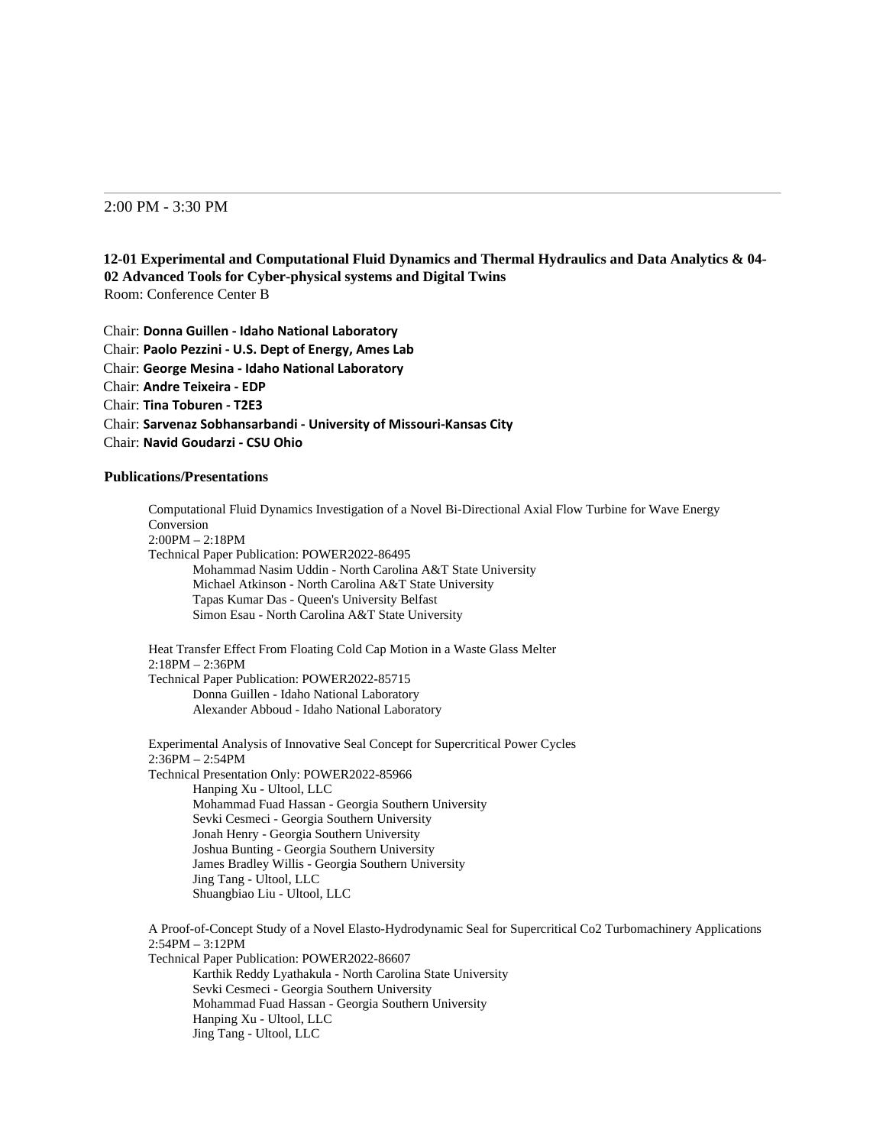## 2:00 PM - 3:30 PM

## **12-01 Experimental and Computational Fluid Dynamics and Thermal Hydraulics and Data Analytics & 04- 02 Advanced Tools for Cyber-physical systems and Digital Twins** Room: Conference Center B

Chair: **Donna Guillen - Idaho National Laboratory** Chair: **Paolo Pezzini - U.S. Dept of Energy, Ames Lab** Chair: **George Mesina - Idaho National Laboratory** Chair: **Andre Teixeira - EDP** Chair: **Tina Toburen - T2E3** Chair: **Sarvenaz Sobhansarbandi - University of Missouri-Kansas City** Chair: **Navid Goudarzi - CSU Ohio**

## **Publications/Presentations**

Computational Fluid Dynamics Investigation of a Novel Bi-Directional Axial Flow Turbine for Wave Energy Conversion 2:00PM – 2:18PM Technical Paper Publication: POWER2022-86495 Mohammad Nasim Uddin - North Carolina A&T State University Michael Atkinson - North Carolina A&T State University Tapas Kumar Das - Queen's University Belfast Simon Esau - North Carolina A&T State University Heat Transfer Effect From Floating Cold Cap Motion in a Waste Glass Melter 2:18PM – 2:36PM Technical Paper Publication: POWER2022-85715 Donna Guillen - Idaho National Laboratory Alexander Abboud - Idaho National Laboratory Experimental Analysis of Innovative Seal Concept for Supercritical Power Cycles 2:36PM – 2:54PM Technical Presentation Only: POWER2022-85966 Hanping Xu - Ultool, LLC

Mohammad Fuad Hassan - Georgia Southern University Sevki Cesmeci - Georgia Southern University Jonah Henry - Georgia Southern University Joshua Bunting - Georgia Southern University James Bradley Willis - Georgia Southern University Jing Tang - Ultool, LLC Shuangbiao Liu - Ultool, LLC

A Proof-of-Concept Study of a Novel Elasto-Hydrodynamic Seal for Supercritical Co2 Turbomachinery Applications 2:54PM – 3:12PM Technical Paper Publication: POWER2022-86607 Karthik Reddy Lyathakula - North Carolina State University Sevki Cesmeci - Georgia Southern University Mohammad Fuad Hassan - Georgia Southern University Hanping Xu - Ultool, LLC Jing Tang - Ultool, LLC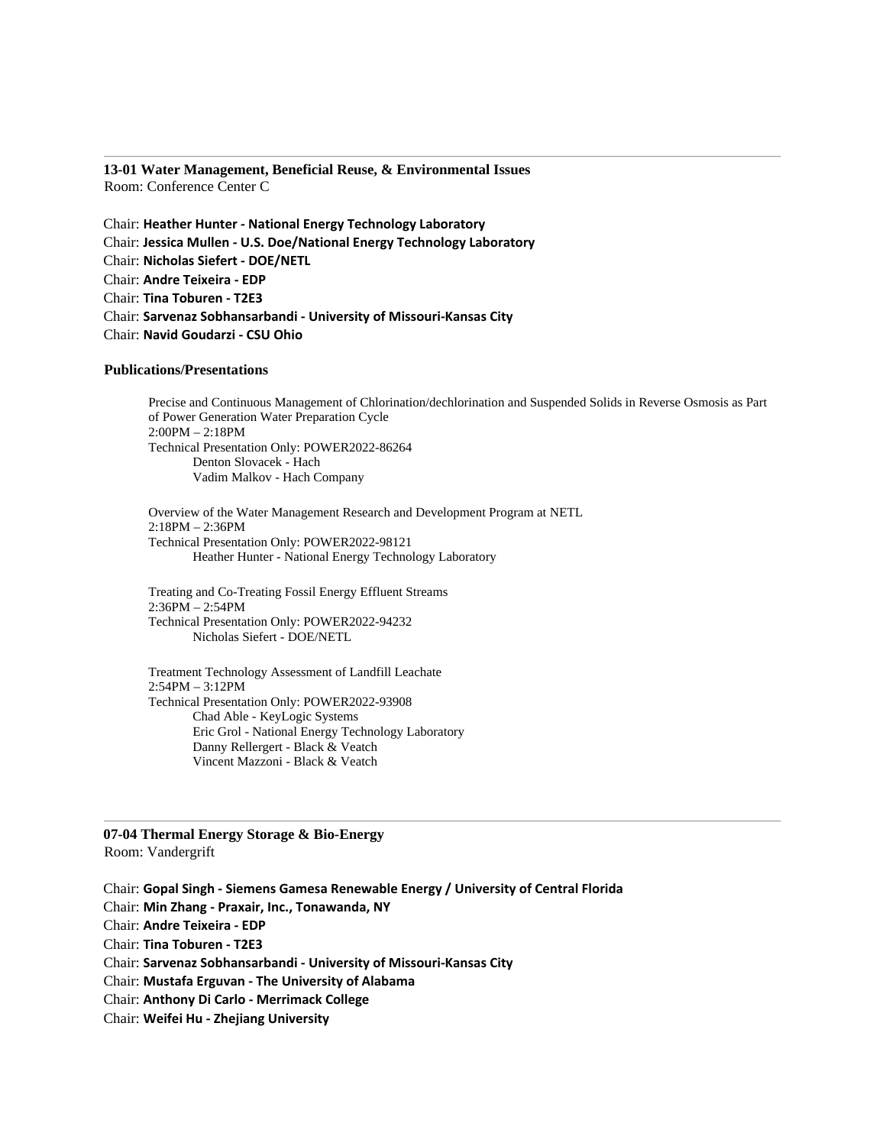**13-01 Water Management, Beneficial Reuse, & Environmental Issues** Room: Conference Center C

Chair: **Heather Hunter - National Energy Technology Laboratory** Chair: **Jessica Mullen - U.S. Doe/National Energy Technology Laboratory** Chair: **Nicholas Siefert - DOE/NETL** Chair: **Andre Teixeira - EDP** Chair: **Tina Toburen - T2E3** Chair: **Sarvenaz Sobhansarbandi - University of Missouri-Kansas City** Chair: **Navid Goudarzi - CSU Ohio**

### **Publications/Presentations**

Precise and Continuous Management of Chlorination/dechlorination and Suspended Solids in Reverse Osmosis as Part of Power Generation Water Preparation Cycle 2:00PM – 2:18PM Technical Presentation Only: POWER2022-86264 Denton Slovacek - Hach Vadim Malkov - Hach Company

Overview of the Water Management Research and Development Program at NETL 2:18PM – 2:36PM Technical Presentation Only: POWER2022-98121 Heather Hunter - National Energy Technology Laboratory

Treating and Co-Treating Fossil Energy Effluent Streams 2:36PM – 2:54PM Technical Presentation Only: POWER2022-94232 Nicholas Siefert - DOE/NETL

Treatment Technology Assessment of Landfill Leachate 2:54PM – 3:12PM Technical Presentation Only: POWER2022-93908 Chad Able - KeyLogic Systems Eric Grol - National Energy Technology Laboratory Danny Rellergert - Black & Veatch Vincent Mazzoni - Black & Veatch

**07-04 Thermal Energy Storage & Bio-Energy** Room: Vandergrift

Chair: **Gopal Singh - Siemens Gamesa Renewable Energy / University of Central Florida** Chair: **Min Zhang - Praxair, Inc., Tonawanda, NY** Chair: **Andre Teixeira - EDP** Chair: **Tina Toburen - T2E3** Chair: **Sarvenaz Sobhansarbandi - University of Missouri-Kansas City** Chair: **Mustafa Erguvan - The University of Alabama** Chair: **Anthony Di Carlo - Merrimack College** Chair: **Weifei Hu - Zhejiang University**